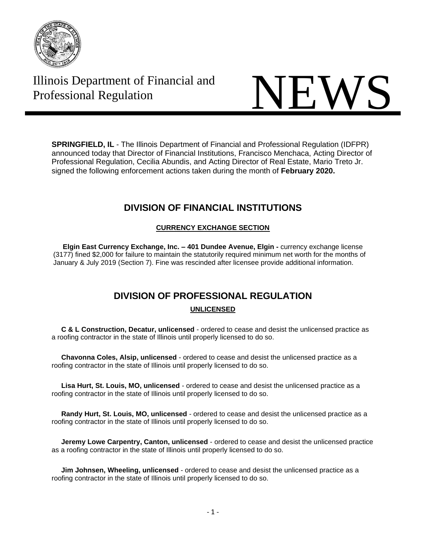

## Illinois Department of Financial and

# Illinois Department of Financial and<br>Professional Regulation

**SPRINGFIELD, IL** - The Illinois Department of Financial and Professional Regulation (IDFPR) announced today that Director of Financial Institutions, Francisco Menchaca, Acting Director of Professional Regulation, Cecilia Abundis, and Acting Director of Real Estate, Mario Treto Jr. signed the following enforcement actions taken during the month of **February 2020.**

#### **DIVISION OF FINANCIAL INSTITUTIONS**

#### **CURRENCY EXCHANGE SECTION**

 **Elgin East Currency Exchange, Inc. – 401 Dundee Avenue, Elgin -** currency exchange license (3177) fined \$2,000 for failure to maintain the statutorily required minimum net worth for the months of January & July 2019 (Section 7). Fine was rescinded after licensee provide additional information.

### **DIVISION OF PROFESSIONAL REGULATION**

#### **UNLICENSED**

 **C & L Construction, Decatur, unlicensed** - ordered to cease and desist the unlicensed practice as a roofing contractor in the state of Illinois until properly licensed to do so.

 **Chavonna Coles, Alsip, unlicensed** - ordered to cease and desist the unlicensed practice as a roofing contractor in the state of Illinois until properly licensed to do so.

 **Lisa Hurt, St. Louis, MO, unlicensed** - ordered to cease and desist the unlicensed practice as a roofing contractor in the state of Illinois until properly licensed to do so.

 **Randy Hurt, St. Louis, MO, unlicensed** - ordered to cease and desist the unlicensed practice as a roofing contractor in the state of Illinois until properly licensed to do so.

 **Jeremy Lowe Carpentry, Canton, unlicensed** - ordered to cease and desist the unlicensed practice as a roofing contractor in the state of Illinois until properly licensed to do so.

 **Jim Johnsen, Wheeling, unlicensed** - ordered to cease and desist the unlicensed practice as a roofing contractor in the state of Illinois until properly licensed to do so.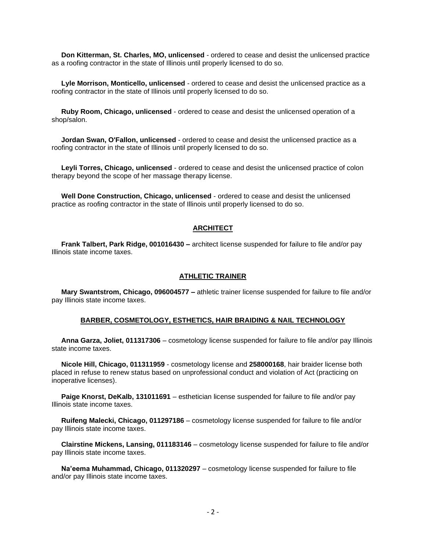**Don Kitterman, St. Charles, MO, unlicensed** - ordered to cease and desist the unlicensed practice as a roofing contractor in the state of Illinois until properly licensed to do so.

 **Lyle Morrison, Monticello, unlicensed** - ordered to cease and desist the unlicensed practice as a roofing contractor in the state of Illinois until properly licensed to do so.

 **Ruby Room, Chicago, unlicensed** - ordered to cease and desist the unlicensed operation of a shop/salon.

 **Jordan Swan, O'Fallon, unlicensed** - ordered to cease and desist the unlicensed practice as a roofing contractor in the state of Illinois until properly licensed to do so.

 **Leyli Torres, Chicago, unlicensed** - ordered to cease and desist the unlicensed practice of colon therapy beyond the scope of her massage therapy license.

 **Well Done Construction, Chicago, unlicensed** - ordered to cease and desist the unlicensed practice as roofing contractor in the state of Illinois until properly licensed to do so.

#### **ARCHITECT**

 **Frank Talbert, Park Ridge, 001016430 –** architect license suspended for failure to file and/or pay Illinois state income taxes.

#### **ATHLETIC TRAINER**

 **Mary Swantstrom, Chicago, 096004577 –** athletic trainer license suspended for failure to file and/or pay Illinois state income taxes.

#### **BARBER, COSMETOLOGY, ESTHETICS, HAIR BRAIDING & NAIL TECHNOLOGY**

 **Anna Garza, Joliet, 011317306** – cosmetology license suspended for failure to file and/or pay Illinois state income taxes.

 **Nicole Hill, Chicago, 011311959** - cosmetology license and **258000168**, hair braider license both placed in refuse to renew status based on unprofessional conduct and violation of Act (practicing on inoperative licenses).

 **Paige Knorst, DeKalb, 131011691** – esthetician license suspended for failure to file and/or pay Illinois state income taxes.

 **Ruifeng Malecki, Chicago, 011297186** – cosmetology license suspended for failure to file and/or pay Illinois state income taxes.

 **Clairstine Mickens, Lansing, 011183146** – cosmetology license suspended for failure to file and/or pay Illinois state income taxes.

 **Na'eema Muhammad, Chicago, 011320297** – cosmetology license suspended for failure to file and/or pay Illinois state income taxes.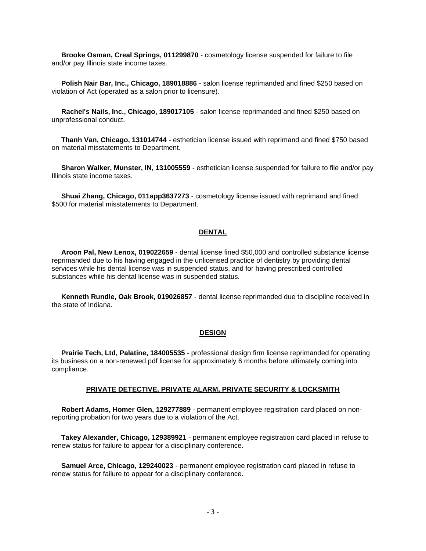**Brooke Osman, Creal Springs, 011299870** - cosmetology license suspended for failure to file and/or pay Illinois state income taxes.

 **Polish Nair Bar, Inc., Chicago, 189018886** - salon license reprimanded and fined \$250 based on violation of Act (operated as a salon prior to licensure).

 **Rachel's Nails, Inc., Chicago, 189017105** - salon license reprimanded and fined \$250 based on unprofessional conduct.

 **Thanh Van, Chicago, 131014744** - esthetician license issued with reprimand and fined \$750 based on material misstatements to Department.

 **Sharon Walker, Munster, IN, 131005559** - esthetician license suspended for failure to file and/or pay Illinois state income taxes.

 **Shuai Zhang, Chicago, 011app3637273** - cosmetology license issued with reprimand and fined \$500 for material misstatements to Department.

#### **DENTAL**

 **Aroon Pal, New Lenox, 019022659** - dental license fined \$50,000 and controlled substance license reprimanded due to his having engaged in the unlicensed practice of dentistry by providing dental services while his dental license was in suspended status, and for having prescribed controlled substances while his dental license was in suspended status.

 **Kenneth Rundle, Oak Brook, 019026857** - dental license reprimanded due to discipline received in the state of Indiana.

#### **DESIGN**

 **Prairie Tech, Ltd, Palatine, 184005535** - professional design firm license reprimanded for operating its business on a non-renewed pdf license for approximately 6 months before ultimately coming into compliance.

#### **PRIVATE DETECTIVE, PRIVATE ALARM, PRIVATE SECURITY & LOCKSMITH**

 **Robert Adams, Homer Glen, 129277889** - permanent employee registration card placed on nonreporting probation for two years due to a violation of the Act.

 **Takey Alexander, Chicago, 129389921** - permanent employee registration card placed in refuse to renew status for failure to appear for a disciplinary conference.

 **Samuel Arce, Chicago, 129240023** - permanent employee registration card placed in refuse to renew status for failure to appear for a disciplinary conference.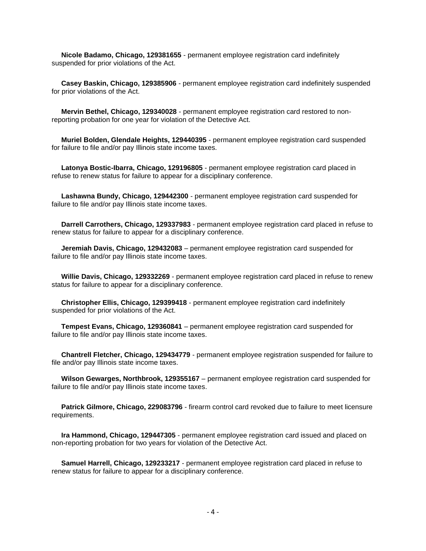**Nicole Badamo, Chicago, 129381655** - permanent employee registration card indefinitely suspended for prior violations of the Act.

 **Casey Baskin, Chicago, 129385906** - permanent employee registration card indefinitely suspended for prior violations of the Act.

 **Mervin Bethel, Chicago, 129340028** - permanent employee registration card restored to nonreporting probation for one year for violation of the Detective Act.

 **Muriel Bolden, Glendale Heights, 129440395** - permanent employee registration card suspended for failure to file and/or pay Illinois state income taxes.

 **Latonya Bostic-Ibarra, Chicago, 129196805** - permanent employee registration card placed in refuse to renew status for failure to appear for a disciplinary conference.

 **Lashawna Bundy, Chicago, 129442300** - permanent employee registration card suspended for failure to file and/or pay Illinois state income taxes.

 **Darrell Carrothers, Chicago, 129337983** - permanent employee registration card placed in refuse to renew status for failure to appear for a disciplinary conference.

 **Jeremiah Davis, Chicago, 129432083** – permanent employee registration card suspended for failure to file and/or pay Illinois state income taxes.

 **Willie Davis, Chicago, 129332269** - permanent employee registration card placed in refuse to renew status for failure to appear for a disciplinary conference.

 **Christopher Ellis, Chicago, 129399418** - permanent employee registration card indefinitely suspended for prior violations of the Act.

 **Tempest Evans, Chicago, 129360841** – permanent employee registration card suspended for failure to file and/or pay Illinois state income taxes.

 **Chantrell Fletcher, Chicago, 129434779** - permanent employee registration suspended for failure to file and/or pay Illinois state income taxes.

 **Wilson Gewarges, Northbrook, 129355167** – permanent employee registration card suspended for failure to file and/or pay Illinois state income taxes.

 **Patrick Gilmore, Chicago, 229083796** - firearm control card revoked due to failure to meet licensure requirements.

 **Ira Hammond, Chicago, 129447305** - permanent employee registration card issued and placed on non-reporting probation for two years for violation of the Detective Act.

 **Samuel Harrell, Chicago, 129233217** - permanent employee registration card placed in refuse to renew status for failure to appear for a disciplinary conference.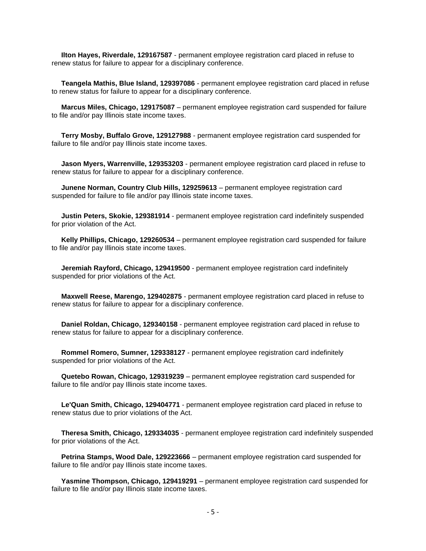**Ilton Hayes, Riverdale, 129167587** - permanent employee registration card placed in refuse to renew status for failure to appear for a disciplinary conference.

 **Teangela Mathis, Blue Island, 129397086** - permanent employee registration card placed in refuse to renew status for failure to appear for a disciplinary conference.

 **Marcus Miles, Chicago, 129175087** – permanent employee registration card suspended for failure to file and/or pay Illinois state income taxes.

 **Terry Mosby, Buffalo Grove, 129127988** - permanent employee registration card suspended for failure to file and/or pay Illinois state income taxes.

 **Jason Myers, Warrenville, 129353203** - permanent employee registration card placed in refuse to renew status for failure to appear for a disciplinary conference.

 **Junene Norman, Country Club Hills, 129259613** – permanent employee registration card suspended for failure to file and/or pay Illinois state income taxes.

 **Justin Peters, Skokie, 129381914** - permanent employee registration card indefinitely suspended for prior violation of the Act.

 **Kelly Phillips, Chicago, 129260534** – permanent employee registration card suspended for failure to file and/or pay Illinois state income taxes.

 **Jeremiah Rayford, Chicago, 129419500** - permanent employee registration card indefinitely suspended for prior violations of the Act.

 **Maxwell Reese, Marengo, 129402875** - permanent employee registration card placed in refuse to renew status for failure to appear for a disciplinary conference.

 **Daniel Roldan, Chicago, 129340158** - permanent employee registration card placed in refuse to renew status for failure to appear for a disciplinary conference.

 **Rommel Romero, Sumner, 129338127** - permanent employee registration card indefinitely suspended for prior violations of the Act.

 **Quetebo Rowan, Chicago, 129319239** – permanent employee registration card suspended for failure to file and/or pay Illinois state income taxes.

 **Le'Quan Smith, Chicago, 129404771** - permanent employee registration card placed in refuse to renew status due to prior violations of the Act.

 **Theresa Smith, Chicago, 129334035** - permanent employee registration card indefinitely suspended for prior violations of the Act.

 **Petrina Stamps, Wood Dale, 129223666** – permanent employee registration card suspended for failure to file and/or pay Illinois state income taxes.

 **Yasmine Thompson, Chicago, 129419291** – permanent employee registration card suspended for failure to file and/or pay Illinois state income taxes.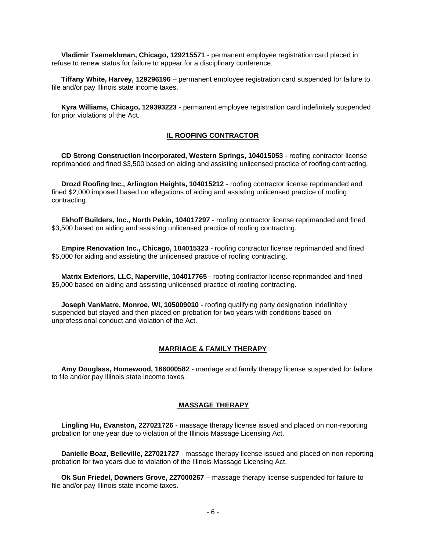**Vladimir Tsemekhman, Chicago, 129215571** - permanent employee registration card placed in refuse to renew status for failure to appear for a disciplinary conference.

 **Tiffany White, Harvey, 129296196** – permanent employee registration card suspended for failure to file and/or pay Illinois state income taxes.

 **Kyra Williams, Chicago, 129393223** - permanent employee registration card indefinitely suspended for prior violations of the Act.

#### **IL ROOFING CONTRACTOR**

 **CD Strong Construction Incorporated, Western Springs, 104015053** - roofing contractor license reprimanded and fined \$3,500 based on aiding and assisting unlicensed practice of roofing contracting.

 **Drozd Roofing Inc., Arlington Heights, 104015212** - roofing contractor license reprimanded and fined \$2,000 imposed based on allegations of aiding and assisting unlicensed practice of roofing contracting.

 **Ekhoff Builders, Inc., North Pekin, 104017297** - roofing contractor license reprimanded and fined \$3,500 based on aiding and assisting unlicensed practice of roofing contracting.

 **Empire Renovation Inc., Chicago, 104015323** - roofing contractor license reprimanded and fined \$5,000 for aiding and assisting the unlicensed practice of roofing contracting.

 **Matrix Exteriors, LLC, Naperville, 104017765** - roofing contractor license reprimanded and fined \$5,000 based on aiding and assisting unlicensed practice of roofing contracting.

 **Joseph VanMatre, Monroe, WI, 105009010** - roofing qualifying party designation indefinitely suspended but stayed and then placed on probation for two years with conditions based on unprofessional conduct and violation of the Act.

#### **MARRIAGE & FAMILY THERAPY**

 **Amy Douglass, Homewood, 166000582** - marriage and family therapy license suspended for failure to file and/or pay Illinois state income taxes.

#### **MASSAGE THERAPY**

 **Lingling Hu, Evanston, 227021726** - massage therapy license issued and placed on non-reporting probation for one year due to violation of the Illinois Massage Licensing Act.

 **Danielle Boaz, Belleville, 227021727** - massage therapy license issued and placed on non-reporting probation for two years due to violation of the Illinois Massage Licensing Act.

 **Ok Sun Friedel, Downers Grove, 227000267** – massage therapy license suspended for failure to file and/or pay Illinois state income taxes.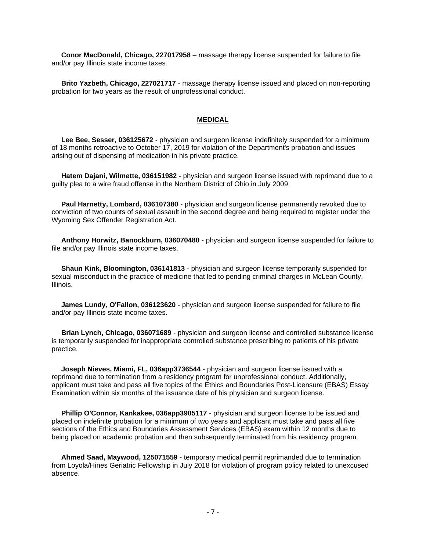**Conor MacDonald, Chicago, 227017958** – massage therapy license suspended for failure to file and/or pay Illinois state income taxes.

 **Brito Yazbeth, Chicago, 227021717** - massage therapy license issued and placed on non-reporting probation for two years as the result of unprofessional conduct.

#### **MEDICAL**

 **Lee Bee, Sesser, 036125672** - physician and surgeon license indefinitely suspended for a minimum of 18 months retroactive to October 17, 2019 for violation of the Department's probation and issues arising out of dispensing of medication in his private practice.

 **Hatem Dajani, Wilmette, 036151982** - physician and surgeon license issued with reprimand due to a guilty plea to a wire fraud offense in the Northern District of Ohio in July 2009.

 **Paul Harnetty, Lombard, 036107380** - physician and surgeon license permanently revoked due to conviction of two counts of sexual assault in the second degree and being required to register under the Wyoming Sex Offender Registration Act.

 **Anthony Horwitz, Banockburn, 036070480** - physician and surgeon license suspended for failure to file and/or pay Illinois state income taxes.

 **Shaun Kink, Bloomington, 036141813** - physician and surgeon license temporarily suspended for sexual misconduct in the practice of medicine that led to pending criminal charges in McLean County, Illinois.

 **James Lundy, O'Fallon, 036123620** - physician and surgeon license suspended for failure to file and/or pay Illinois state income taxes.

 **Brian Lynch, Chicago, 036071689** - physician and surgeon license and controlled substance license is temporarily suspended for inappropriate controlled substance prescribing to patients of his private practice.

 **Joseph Nieves, Miami, FL, 036app3736544** - physician and surgeon license issued with a reprimand due to termination from a residency program for unprofessional conduct. Additionally, applicant must take and pass all five topics of the Ethics and Boundaries Post-Licensure (EBAS) Essay Examination within six months of the issuance date of his physician and surgeon license.

 **Phillip O'Connor, Kankakee, 036app3905117** - physician and surgeon license to be issued and placed on indefinite probation for a minimum of two years and applicant must take and pass all five sections of the Ethics and Boundaries Assessment Services (EBAS) exam within 12 months due to being placed on academic probation and then subsequently terminated from his residency program.

 **Ahmed Saad, Maywood, 125071559** - temporary medical permit reprimanded due to termination from Loyola/Hines Geriatric Fellowship in July 2018 for violation of program policy related to unexcused absence.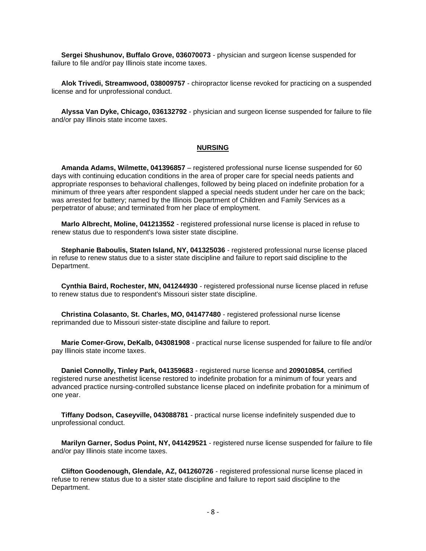**Sergei Shushunov, Buffalo Grove, 036070073** - physician and surgeon license suspended for failure to file and/or pay Illinois state income taxes.

 **Alok Trivedi, Streamwood, 038009757** - chiropractor license revoked for practicing on a suspended license and for unprofessional conduct.

 **Alyssa Van Dyke, Chicago, 036132792** - physician and surgeon license suspended for failure to file and/or pay Illinois state income taxes.

#### **NURSING**

 **Amanda Adams, Wilmette, 041396857** – registered professional nurse license suspended for 60 days with continuing education conditions in the area of proper care for special needs patients and appropriate responses to behavioral challenges, followed by being placed on indefinite probation for a minimum of three years after respondent slapped a special needs student under her care on the back; was arrested for battery; named by the Illinois Department of Children and Family Services as a perpetrator of abuse; and terminated from her place of employment.

 **Marlo Albrecht, Moline, 041213552** - registered professional nurse license is placed in refuse to renew status due to respondent's Iowa sister state discipline.

 **Stephanie Baboulis, Staten Island, NY, 041325036** - registered professional nurse license placed in refuse to renew status due to a sister state discipline and failure to report said discipline to the Department.

 **Cynthia Baird, Rochester, MN, 041244930** - registered professional nurse license placed in refuse to renew status due to respondent's Missouri sister state discipline.

 **Christina Colasanto, St. Charles, MO, 041477480** - registered professional nurse license reprimanded due to Missouri sister-state discipline and failure to report.

 **Marie Comer-Grow, DeKalb, 043081908** - practical nurse license suspended for failure to file and/or pay Illinois state income taxes.

 **Daniel Connolly, Tinley Park, 041359683** - registered nurse license and **209010854**, certified registered nurse anesthetist license restored to indefinite probation for a minimum of four years and advanced practice nursing-controlled substance license placed on indefinite probation for a minimum of one year.

 **Tiffany Dodson, Caseyville, 043088781** - practical nurse license indefinitely suspended due to unprofessional conduct.

 **Marilyn Garner, Sodus Point, NY, 041429521** - registered nurse license suspended for failure to file and/or pay Illinois state income taxes.

 **Clifton Goodenough, Glendale, AZ, 041260726** - registered professional nurse license placed in refuse to renew status due to a sister state discipline and failure to report said discipline to the Department.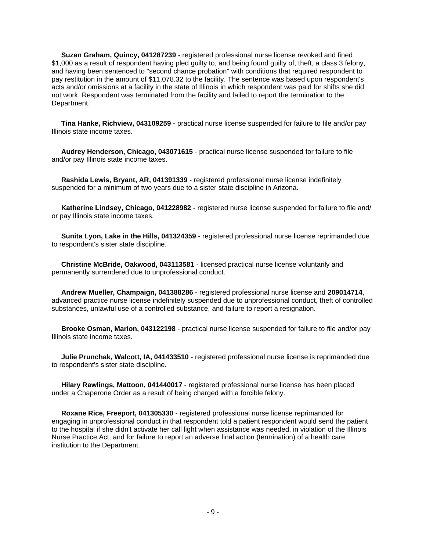**Suzan Graham, Quincy, 041287239** - registered professional nurse license revoked and fined \$1,000 as a result of respondent having pled guilty to, and being found guilty of, theft, a class 3 felony, and having been sentenced to "second chance probation" with conditions that required respondent to pay restitution in the amount of \$11,078.32 to the facility. The sentence was based upon respondent's acts and/or omissions at a facility in the state of Illinois in which respondent was paid for shifts she did not work. Respondent was terminated from the facility and failed to report the termination to the Department.

 **Tina Hanke, Richview, 043109259** - practical nurse license suspended for failure to file and/or pay Illinois state income taxes.

 **Audrey Henderson, Chicago, 043071615** - practical nurse license suspended for failure to file and/or pay Illinois state income taxes.

 **Rashida Lewis, Bryant, AR, 041391339** - registered professional nurse license indefinitely suspended for a minimum of two years due to a sister state discipline in Arizona.

 **Katherine Lindsey, Chicago, 041228982** - registered nurse license suspended for failure to file and/ or pay Illinois state income taxes.

 **Sunita Lyon, Lake in the Hills, 041324359** - registered professional nurse license reprimanded due to respondent's sister state discipline.

 **Christine McBride, Oakwood, 043113581** - licensed practical nurse license voluntarily and permanently surrendered due to unprofessional conduct.

 **Andrew Mueller, Champaign, 041388286** - registered professional nurse license and **209014714**, advanced practice nurse license indefinitely suspended due to unprofessional conduct, theft of controlled substances, unlawful use of a controlled substance, and failure to report a resignation.

 **Brooke Osman, Marion, 043122198** - practical nurse license suspended for failure to file and/or pay Illinois state income taxes.

 **Julie Prunchak, Walcott, IA, 041433510** - registered professional nurse license is reprimanded due to respondent's sister state discipline.

 **Hilary Rawlings, Mattoon, 041440017** - registered professional nurse license has been placed under a Chaperone Order as a result of being charged with a forcible felony.

 **Roxane Rice, Freeport, 041305330** - registered professional nurse license reprimanded for engaging in unprofessional conduct in that respondent told a patient respondent would send the patient to the hospital if she didn't activate her call light when assistance was needed, in violation of the Illinois Nurse Practice Act, and for failure to report an adverse final action (termination) of a health care institution to the Department.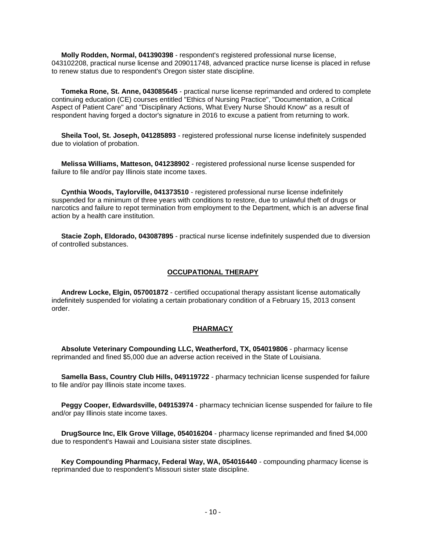**Molly Rodden, Normal, 041390398** - respondent's registered professional nurse license, 043102208, practical nurse license and 209011748, advanced practice nurse license is placed in refuse to renew status due to respondent's Oregon sister state discipline.

 **Tomeka Rone, St. Anne, 043085645** - practical nurse license reprimanded and ordered to complete continuing education (CE) courses entitled "Ethics of Nursing Practice", "Documentation, a Critical Aspect of Patient Care" and "Disciplinary Actions, What Every Nurse Should Know" as a result of respondent having forged a doctor's signature in 2016 to excuse a patient from returning to work.

 **Sheila Tool, St. Joseph, 041285893** - registered professional nurse license indefinitely suspended due to violation of probation.

 **Melissa Williams, Matteson, 041238902** - registered professional nurse license suspended for failure to file and/or pay Illinois state income taxes.

 **Cynthia Woods, Taylorville, 041373510** - registered professional nurse license indefinitely suspended for a minimum of three years with conditions to restore, due to unlawful theft of drugs or narcotics and failure to repot termination from employment to the Department, which is an adverse final action by a health care institution.

 **Stacie Zoph, Eldorado, 043087895** - practical nurse license indefinitely suspended due to diversion of controlled substances.

#### **OCCUPATIONAL THERAPY**

 **Andrew Locke, Elgin, 057001872** - certified occupational therapy assistant license automatically indefinitely suspended for violating a certain probationary condition of a February 15, 2013 consent order.

#### **PHARMACY**

 **Absolute Veterinary Compounding LLC, Weatherford, TX, 054019806** - pharmacy license reprimanded and fined \$5,000 due an adverse action received in the State of Louisiana.

 **Samella Bass, Country Club Hills, 049119722** - pharmacy technician license suspended for failure to file and/or pay Illinois state income taxes.

 **Peggy Cooper, Edwardsville, 049153974** - pharmacy technician license suspended for failure to file and/or pay Illinois state income taxes.

 **DrugSource Inc, Elk Grove Village, 054016204** - pharmacy license reprimanded and fined \$4,000 due to respondent's Hawaii and Louisiana sister state disciplines.

 **Key Compounding Pharmacy, Federal Way, WA, 054016440** - compounding pharmacy license is reprimanded due to respondent's Missouri sister state discipline.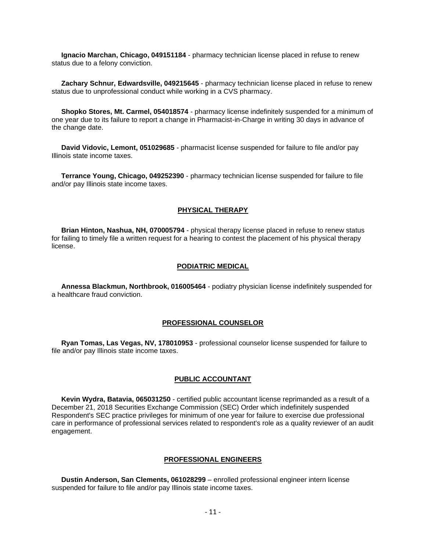**Ignacio Marchan, Chicago, 049151184** - pharmacy technician license placed in refuse to renew status due to a felony conviction.

 **Zachary Schnur, Edwardsville, 049215645** - pharmacy technician license placed in refuse to renew status due to unprofessional conduct while working in a CVS pharmacy.

 **Shopko Stores, Mt. Carmel, 054018574** - pharmacy license indefinitely suspended for a minimum of one year due to its failure to report a change in Pharmacist-in-Charge in writing 30 days in advance of the change date.

 **David Vidovic, Lemont, 051029685** - pharmacist license suspended for failure to file and/or pay Illinois state income taxes.

 **Terrance Young, Chicago, 049252390** - pharmacy technician license suspended for failure to file and/or pay Illinois state income taxes.

#### **PHYSICAL THERAPY**

 **Brian Hinton, Nashua, NH, 070005794** - physical therapy license placed in refuse to renew status for failing to timely file a written request for a hearing to contest the placement of his physical therapy license.

#### **PODIATRIC MEDICAL**

 **Annessa Blackmun, Northbrook, 016005464** - podiatry physician license indefinitely suspended for a healthcare fraud conviction.

#### **PROFESSIONAL COUNSELOR**

 **Ryan Tomas, Las Vegas, NV, 178010953** - professional counselor license suspended for failure to file and/or pay Illinois state income taxes.

#### **PUBLIC ACCOUNTANT**

 **Kevin Wydra, Batavia, 065031250** - certified public accountant license reprimanded as a result of a December 21, 2018 Securities Exchange Commission (SEC) Order which indefinitely suspended Respondent's SEC practice privileges for minimum of one year for failure to exercise due professional care in performance of professional services related to respondent's role as a quality reviewer of an audit engagement.

#### **PROFESSIONAL ENGINEERS**

 **Dustin Anderson, San Clements, 061028299** – enrolled professional engineer intern license suspended for failure to file and/or pay Illinois state income taxes.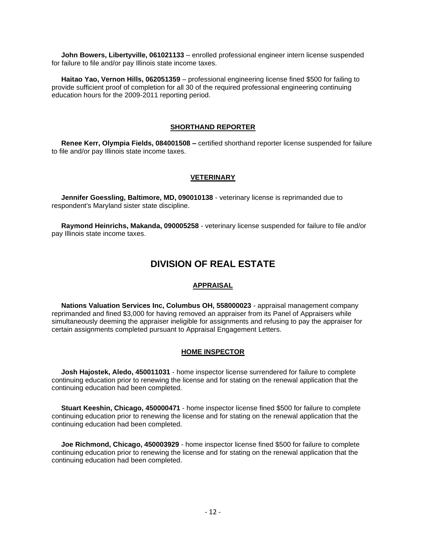**John Bowers, Libertyville, 061021133** – enrolled professional engineer intern license suspended for failure to file and/or pay Illinois state income taxes.

 **Haitao Yao, Vernon Hills, 062051359** – professional engineering license fined \$500 for failing to provide sufficient proof of completion for all 30 of the required professional engineering continuing education hours for the 2009-2011 reporting period.

#### **SHORTHAND REPORTER**

 **Renee Kerr, Olympia Fields, 084001508 –** certified shorthand reporter license suspended for failure to file and/or pay Illinois state income taxes.

#### **VETERINARY**

 **Jennifer Goessling, Baltimore, MD, 090010138** - veterinary license is reprimanded due to respondent's Maryland sister state discipline.

 **Raymond Heinrichs, Makanda, 090005258** - veterinary license suspended for failure to file and/or pay Illinois state income taxes.

#### **DIVISION OF REAL ESTATE**

#### **APPRAISAL**

 **Nations Valuation Services Inc, Columbus OH, 558000023** - appraisal management company reprimanded and fined \$3,000 for having removed an appraiser from its Panel of Appraisers while simultaneously deeming the appraiser ineligible for assignments and refusing to pay the appraiser for certain assignments completed pursuant to Appraisal Engagement Letters.

#### **HOME INSPECTOR**

 **Josh Hajostek, Aledo, 450011031** - home inspector license surrendered for failure to complete continuing education prior to renewing the license and for stating on the renewal application that the continuing education had been completed.

 **Stuart Keeshin, Chicago, 450000471** - home inspector license fined \$500 for failure to complete continuing education prior to renewing the license and for stating on the renewal application that the continuing education had been completed.

 **Joe Richmond, Chicago, 450003929** - home inspector license fined \$500 for failure to complete continuing education prior to renewing the license and for stating on the renewal application that the continuing education had been completed.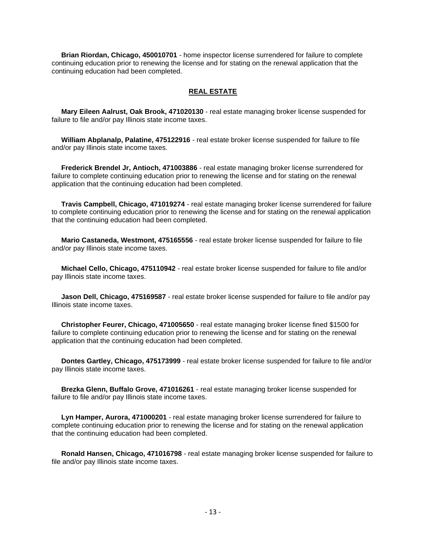**Brian Riordan, Chicago, 450010701** - home inspector license surrendered for failure to complete continuing education prior to renewing the license and for stating on the renewal application that the continuing education had been completed.

#### **REAL ESTATE**

 **Mary Eileen Aalrust, Oak Brook, 471020130** - real estate managing broker license suspended for failure to file and/or pay Illinois state income taxes.

 **William Abplanalp, Palatine, 475122916** - real estate broker license suspended for failure to file and/or pay Illinois state income taxes.

 **Frederick Brendel Jr, Antioch, 471003886** - real estate managing broker license surrendered for failure to complete continuing education prior to renewing the license and for stating on the renewal application that the continuing education had been completed.

 **Travis Campbell, Chicago, 471019274** - real estate managing broker license surrendered for failure to complete continuing education prior to renewing the license and for stating on the renewal application that the continuing education had been completed.

 **Mario Castaneda, Westmont, 475165556** - real estate broker license suspended for failure to file and/or pay Illinois state income taxes.

 **Michael Cello, Chicago, 475110942** - real estate broker license suspended for failure to file and/or pay Illinois state income taxes.

 **Jason Dell, Chicago, 475169587** - real estate broker license suspended for failure to file and/or pay Illinois state income taxes.

 **Christopher Feurer, Chicago, 471005650** - real estate managing broker license fined \$1500 for failure to complete continuing education prior to renewing the license and for stating on the renewal application that the continuing education had been completed.

 **Dontes Gartley, Chicago, 475173999** - real estate broker license suspended for failure to file and/or pay Illinois state income taxes.

 **Brezka Glenn, Buffalo Grove, 471016261** - real estate managing broker license suspended for failure to file and/or pay Illinois state income taxes.

 **Lyn Hamper, Aurora, 471000201** - real estate managing broker license surrendered for failure to complete continuing education prior to renewing the license and for stating on the renewal application that the continuing education had been completed.

 **Ronald Hansen, Chicago, 471016798** - real estate managing broker license suspended for failure to file and/or pay Illinois state income taxes.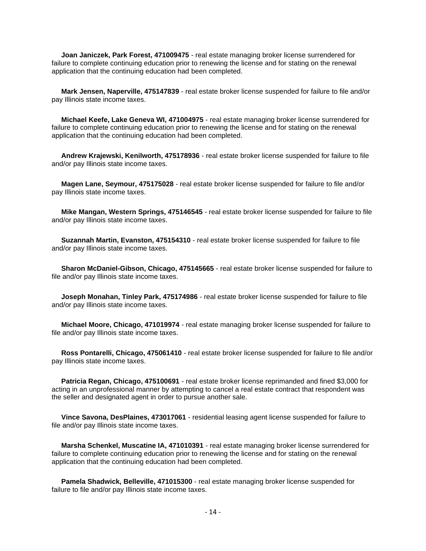**Joan Janiczek, Park Forest, 471009475** - real estate managing broker license surrendered for failure to complete continuing education prior to renewing the license and for stating on the renewal application that the continuing education had been completed.

 **Mark Jensen, Naperville, 475147839** - real estate broker license suspended for failure to file and/or pay Illinois state income taxes.

 **Michael Keefe, Lake Geneva WI, 471004975** - real estate managing broker license surrendered for failure to complete continuing education prior to renewing the license and for stating on the renewal application that the continuing education had been completed.

 **Andrew Krajewski, Kenilworth, 475178936** - real estate broker license suspended for failure to file and/or pay Illinois state income taxes.

 **Magen Lane, Seymour, 475175028** - real estate broker license suspended for failure to file and/or pay Illinois state income taxes.

 **Mike Mangan, Western Springs, 475146545** - real estate broker license suspended for failure to file and/or pay Illinois state income taxes.

 **Suzannah Martin, Evanston, 475154310** - real estate broker license suspended for failure to file and/or pay Illinois state income taxes.

 **Sharon McDaniel-Gibson, Chicago, 475145665** - real estate broker license suspended for failure to file and/or pay Illinois state income taxes.

 **Joseph Monahan, Tinley Park, 475174986** - real estate broker license suspended for failure to file and/or pay Illinois state income taxes.

 **Michael Moore, Chicago, 471019974** - real estate managing broker license suspended for failure to file and/or pay Illinois state income taxes.

 **Ross Pontarelli, Chicago, 475061410** - real estate broker license suspended for failure to file and/or pay Illinois state income taxes.

 **Patricia Regan, Chicago, 475100691** - real estate broker license reprimanded and fined \$3,000 for acting in an unprofessional manner by attempting to cancel a real estate contract that respondent was the seller and designated agent in order to pursue another sale.

 **Vince Savona, DesPlaines, 473017061** - residential leasing agent license suspended for failure to file and/or pay Illinois state income taxes.

 **Marsha Schenkel, Muscatine IA, 471010391** - real estate managing broker license surrendered for failure to complete continuing education prior to renewing the license and for stating on the renewal application that the continuing education had been completed.

 **Pamela Shadwick, Belleville, 471015300** - real estate managing broker license suspended for failure to file and/or pay Illinois state income taxes.